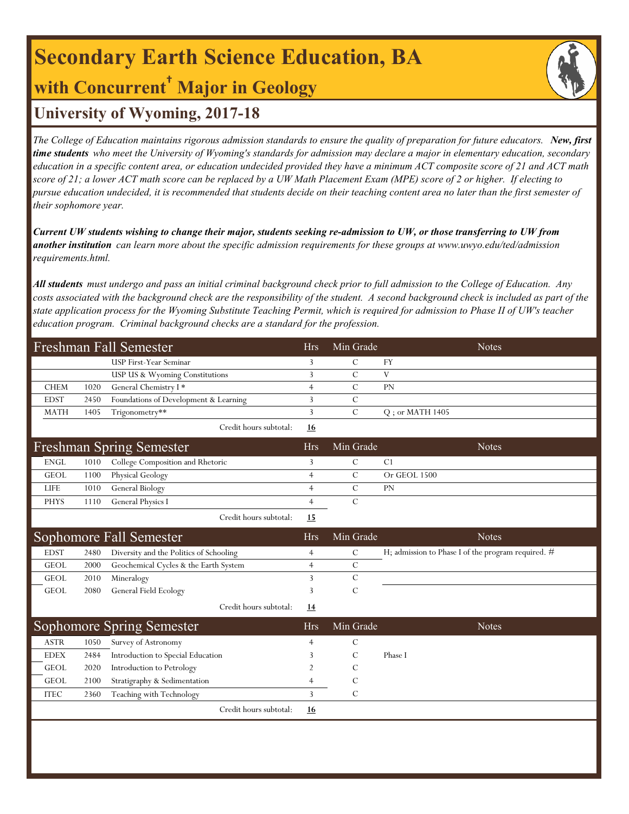## **Secondary Earth Science Education, BA with Concurrent† Major in Geology**

## **University of Wyoming, 2017-18**

*The College of Education maintains rigorous admission standards to ensure the quality of preparation for future educators. New, first time students who meet the University of Wyoming's standards for admission may declare a major in elementary education, secondary education in a specific content area, or education undecided provided they have a minimum ACT composite score of 21 and ACT math score of 21; a lower ACT math score can be replaced by a UW Math Placement Exam (MPE) score of 2 or higher. If electing to pursue education undecided, it is recommended that students decide on their teaching content area no later than the first semester of their sophomore year.*

*Current UW students wishing to change their major, students seeking re-admission to UW, or those transferring to UW from another institution can learn more about the specific admission requirements for these groups at www.uwyo.edu/ted/admission requirements.html.* 

*All students must undergo and pass an initial criminal background check prior to full admission to the College of Education. Any costs associated with the background check are the responsibility of the student. A second background check is included as part of the state application process for the Wyoming Substitute Teaching Permit, which is required for admission to Phase II of UW's teacher education program. Criminal background checks are a standard for the profession.*

|             |      | Freshman Fall Semester                  | <b>Hrs</b>     | Min Grade     | <b>Notes</b>                                       |
|-------------|------|-----------------------------------------|----------------|---------------|----------------------------------------------------|
|             |      | USP First-Year Seminar                  | 3              | $\mathcal{C}$ | <b>FY</b>                                          |
|             |      | USP US & Wyoming Constitutions          | 3              | $\mathcal{C}$ | V                                                  |
| <b>CHEM</b> | 1020 | General Chemistry I*                    | $\overline{4}$ | $\mathcal{C}$ | <b>PN</b>                                          |
| <b>EDST</b> | 2450 | Foundations of Development & Learning   | 3              | $\mathcal{C}$ |                                                    |
| <b>MATH</b> | 1405 | Trigonometry**                          | 3              | $\cal C$      | $Q$ ; or MATH 1405                                 |
|             |      | Credit hours subtotal:                  | 16             |               |                                                    |
|             |      | <b>Freshman Spring Semester</b>         | <b>Hrs</b>     | Min Grade     | <b>Notes</b>                                       |
| <b>ENGL</b> | 1010 | College Composition and Rhetoric        | 3              | $\mathcal{C}$ | C1                                                 |
| <b>GEOL</b> | 1100 | Physical Geology                        | $\overline{4}$ | $\mathcal{C}$ | Or GEOL 1500                                       |
| <b>LIFE</b> | 1010 | General Biology                         | $\overline{4}$ | $\mathcal{C}$ | PN                                                 |
| <b>PHYS</b> | 1110 | General Physics I                       | $\overline{4}$ | $\mathcal{C}$ |                                                    |
|             |      | Credit hours subtotal:                  | 15             |               |                                                    |
|             |      | Sophomore Fall Semester                 | <b>Hrs</b>     | Min Grade     | <b>Notes</b>                                       |
| <b>EDST</b> | 2480 | Diversity and the Politics of Schooling | $\overline{4}$ | $\mathcal{C}$ | H; admission to Phase I of the program required. # |
| <b>GEOL</b> | 2000 | Geochemical Cycles & the Earth System   | $\overline{4}$ | $\mathcal{C}$ |                                                    |
| <b>GEOL</b> | 2010 | Mineralogy                              | 3              | $\mathcal{C}$ |                                                    |
| <b>GEOL</b> | 2080 | General Field Ecology                   | 3              | $\mathcal{C}$ |                                                    |
|             |      | Credit hours subtotal:                  | 14             |               |                                                    |
|             |      | Sophomore Spring Semester               | <b>Hrs</b>     | Min Grade     | <b>Notes</b>                                       |
| <b>ASTR</b> | 1050 | Survey of Astronomy                     | $\overline{4}$ | $\mathcal{C}$ |                                                    |
| <b>EDEX</b> | 2484 | Introduction to Special Education       | 3              | $\mathcal{C}$ | Phase I                                            |
| <b>GEOL</b> | 2020 | Introduction to Petrology               | $\overline{2}$ | $\mathcal{C}$ |                                                    |
| <b>GEOL</b> | 2100 | Stratigraphy & Sedimentation            | $\overline{4}$ | $\mathcal{C}$ |                                                    |
| <b>ITEC</b> | 2360 | Teaching with Technology                | 3              | $\mathcal{C}$ |                                                    |
|             |      | Credit hours subtotal:                  | 16             |               |                                                    |
|             |      |                                         |                |               |                                                    |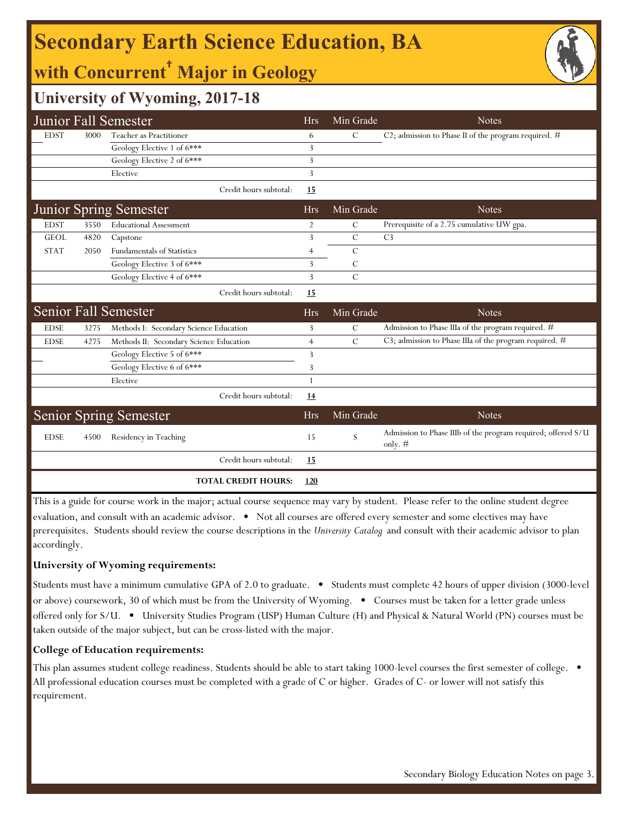## **Secondary Earth Science Education, BA**

## **with Concurrent† Major in Geology**

### **University of Wyoming, 2017-18**

|             |      | Junior Fall Semester                    | <b>Hrs</b>     | Min Grade     | <b>Notes</b>                                                              |
|-------------|------|-----------------------------------------|----------------|---------------|---------------------------------------------------------------------------|
| <b>EDST</b> | 3000 | Teacher as Practitioner                 | 6              | $\mathcal{C}$ | C2; admission to Phase II of the program required. #                      |
|             |      | Geology Elective 1 of 6***              | 3              |               |                                                                           |
|             |      | Geology Elective 2 of 6***              | 3              |               |                                                                           |
|             |      | Elective                                | 3              |               |                                                                           |
|             |      | Credit hours subtotal:                  | 15             |               |                                                                           |
|             |      | Junior Spring Semester                  | <b>Hrs</b>     | Min Grade     | <b>Notes</b>                                                              |
| <b>EDST</b> | 3550 | <b>Educational Assessment</b>           | $\overline{2}$ | C             | Prerequisite of a 2.75 cumulative UW gpa.                                 |
| <b>GEOL</b> | 4820 | Capstone                                | 3              | $\mathcal{C}$ | C <sub>3</sub>                                                            |
| <b>STAT</b> | 2050 | <b>Fundamentals of Statistics</b>       | $\overline{4}$ | $\mathcal{C}$ |                                                                           |
|             |      | Geology Elective 3 of 6***              | 3              | C             |                                                                           |
|             |      | Geology Elective 4 of 6***              | 3              | $\mathcal{C}$ |                                                                           |
|             |      | Credit hours subtotal:                  | <b>15</b>      |               |                                                                           |
|             |      | Senior Fall Semester                    | <b>Hrs</b>     | Min Grade     | <b>Notes</b>                                                              |
| <b>EDSE</b> | 3275 | Methods I: Secondary Science Education  | 3              | $\mathcal{C}$ | Admission to Phase IIIa of the program required. #                        |
| <b>EDSE</b> | 4275 | Methods II: Secondary Science Education | $\overline{4}$ | $\mathcal{C}$ | C3; admission to Phase IIIa of the program required. #                    |
|             |      | Geology Elective 5 of 6***              | 3              |               |                                                                           |
|             |      | Geology Elective 6 of 6***              | 3              |               |                                                                           |
|             |      | Elective                                | 1              |               |                                                                           |
|             |      | Credit hours subtotal:                  | 14             |               |                                                                           |
|             |      | <b>Senior Spring Semester</b>           | <b>Hrs</b>     | Min Grade     | <b>Notes</b>                                                              |
| <b>EDSE</b> | 4500 | Residency in Teaching                   | 15             | S             | Admission to Phase IIIb of the program required; offered S/U<br>only. $#$ |
|             |      | Credit hours subtotal:                  | 15             |               |                                                                           |
|             |      | <b>TOTAL CREDIT HOURS:</b>              | <u>120</u>     |               |                                                                           |

This is a guide for course work in the major; actual course sequence may vary by student. Please refer to the online student degree evaluation, and consult with an academic advisor. • Not all courses are offered every semester and some electives may have prerequisites. Students should review the course descriptions in the *University Catalog* and consult with their academic advisor to plan accordingly.

#### **University of Wyoming requirements:**

Students must have a minimum cumulative GPA of 2.0 to graduate. • Students must complete 42 hours of upper division (3000-level or above) coursework, 30 of which must be from the University of Wyoming. • Courses must be taken for a letter grade unless offered only for S/U. • University Studies Program (USP) Human Culture (H) and Physical & Natural World (PN) courses must be taken outside of the major subject, but can be cross-listed with the major.

#### **College of Education requirements:**

This plan assumes student college readiness. Students should be able to start taking 1000-level courses the first semester of college. All professional education courses must be completed with a grade of C or higher. Grades of C- or lower will not satisfy this requirement.